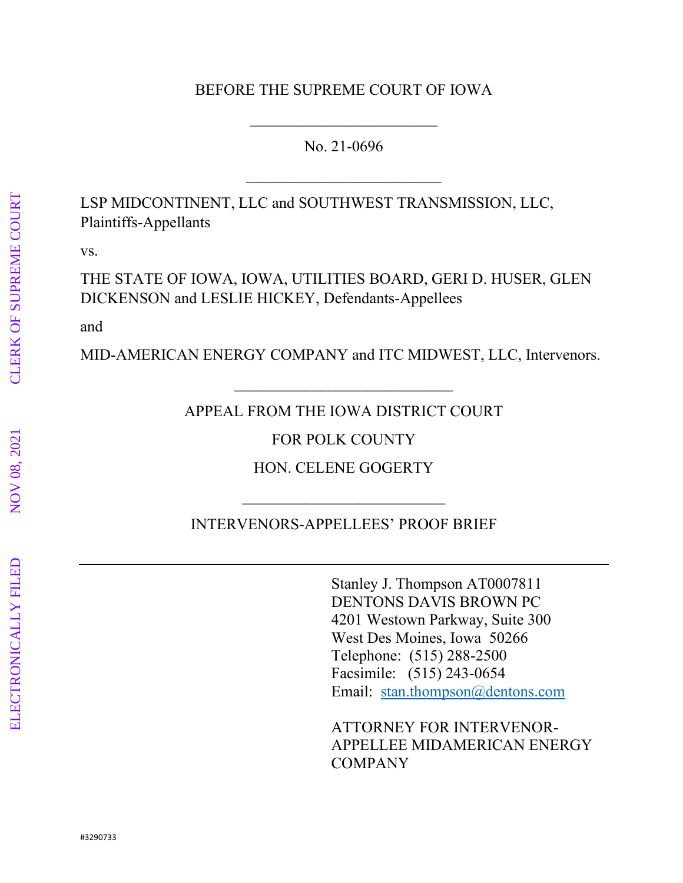### BEFORE THE SUPREME COURT OF IOWA

### No. 21-0696

\_\_\_\_\_\_\_\_\_\_\_\_\_\_\_\_\_\_\_\_\_\_\_\_\_

 $\overline{\phantom{a}}$ 

LSP MIDCONTINENT, LLC and SOUTHWEST TRANSMISSION, LLC, Plaintiffs-Appellants

vs.

THE STATE OF IOWA, IOWA, UTILITIES BOARD, GERI D. HUSER, GLEN DICKENSON and LESLIE HICKEY, Defendants-Appellees

and

MID-AMERICAN ENERGY COMPANY and ITC MIDWEST, LLC, Intervenors.

APPEAL FROM THE IOWA DISTRICT COURT

\_\_\_\_\_\_\_\_\_\_\_\_\_\_\_\_\_\_\_\_\_\_\_\_\_\_\_\_

FOR POLK COUNTY

HON. CELENE GOGERTY

INTERVENORS-APPELLEES' PROOF BRIEF

 $\overline{\phantom{a}}$  , and the set of the set of the set of the set of the set of the set of the set of the set of the set of the set of the set of the set of the set of the set of the set of the set of the set of the set of the s

Stanley J. Thompson AT0007811 DENTONS DAVIS BROWN PC 4201 Westown Parkway, Suite 300 West Des Moines, Iowa 50266 Telephone: (515) 288-2500 Facsimile: (515) 243-0654 Email: [stan.thompson@dentons.com](mailto:stan.thompson@dentons.com)

ATTORNEY FOR INTERVENOR-APPELLEE MIDAMERICAN ENERGY COMPANY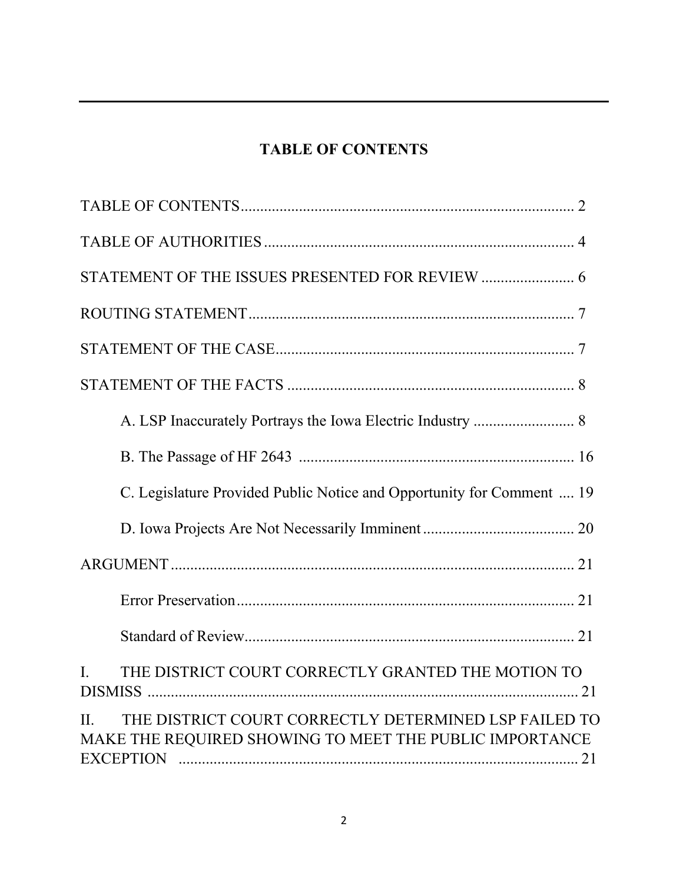# **TABLE OF CONTENTS**

| STATEMENT OF THE ISSUES PRESENTED FOR REVIEW  6                                                                             |
|-----------------------------------------------------------------------------------------------------------------------------|
|                                                                                                                             |
|                                                                                                                             |
|                                                                                                                             |
|                                                                                                                             |
|                                                                                                                             |
| C. Legislature Provided Public Notice and Opportunity for Comment  19                                                       |
|                                                                                                                             |
|                                                                                                                             |
|                                                                                                                             |
|                                                                                                                             |
| THE DISTRICT COURT CORRECTLY GRANTED THE MOTION TO<br>$\mathbf{L}$                                                          |
| THE DISTRICT COURT CORRECTLY DETERMINED LSP FAILED TO<br>$\Pi$ .<br>MAKE THE REQUIRED SHOWING TO MEET THE PUBLIC IMPORTANCE |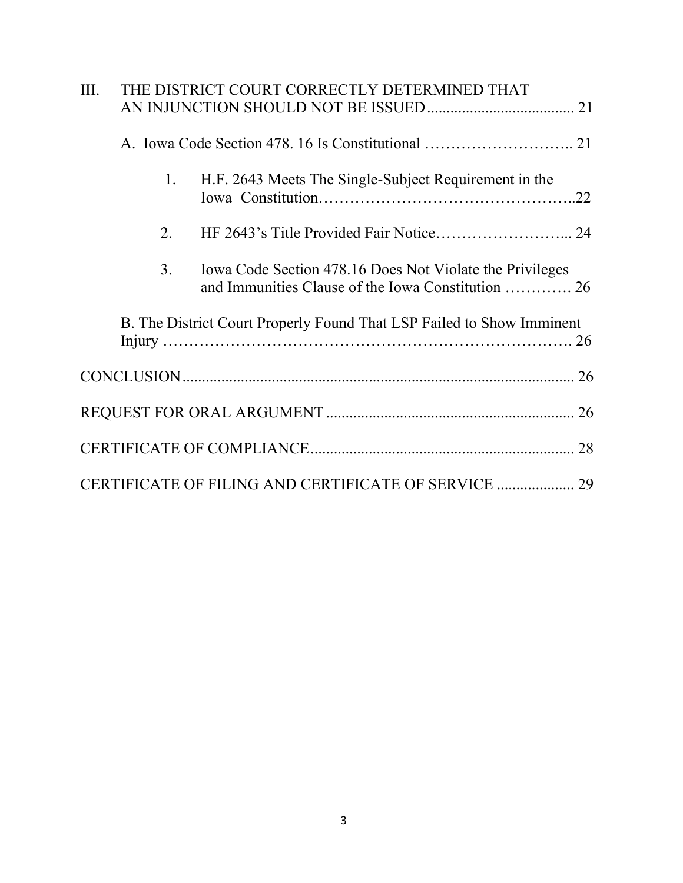| THE DISTRICT COURT CORRECTLY DETERMINED THAT<br>Ш. |  |    |                                                                                                                |  |
|----------------------------------------------------|--|----|----------------------------------------------------------------------------------------------------------------|--|
|                                                    |  |    |                                                                                                                |  |
|                                                    |  | 1. | H.F. 2643 Meets The Single-Subject Requirement in the                                                          |  |
|                                                    |  | 2. |                                                                                                                |  |
|                                                    |  | 3. | Iowa Code Section 478.16 Does Not Violate the Privileges<br>and Immunities Clause of the Iowa Constitution  26 |  |
|                                                    |  |    | B. The District Court Properly Found That LSP Failed to Show Imminent                                          |  |
|                                                    |  |    |                                                                                                                |  |
|                                                    |  |    |                                                                                                                |  |
|                                                    |  |    |                                                                                                                |  |
|                                                    |  |    |                                                                                                                |  |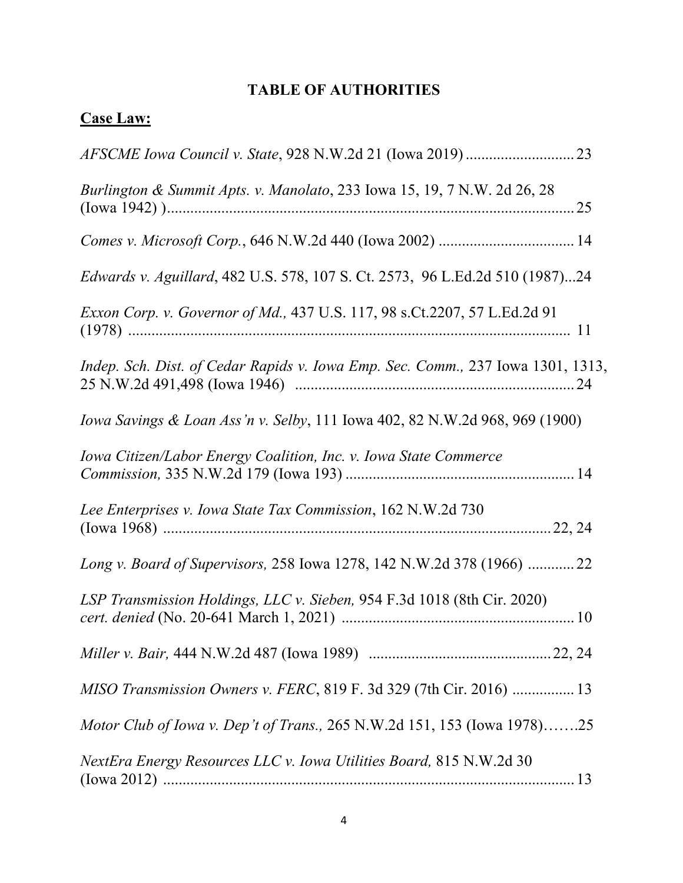# **TABLE OF AUTHORITIES**

# **Case Law:**

| Burlington & Summit Apts. v. Manolato, 233 Iowa 15, 19, 7 N.W. 2d 26, 28        |
|---------------------------------------------------------------------------------|
|                                                                                 |
| Edwards v. Aguillard, 482 U.S. 578, 107 S. Ct. 2573, 96 L.Ed.2d 510 (1987)24    |
| Exxon Corp. v. Governor of Md., 437 U.S. 117, 98 s.Ct.2207, 57 L.Ed.2d 91       |
| Indep. Sch. Dist. of Cedar Rapids v. Iowa Emp. Sec. Comm., 237 Iowa 1301, 1313, |
| Iowa Savings & Loan Ass'n v. Selby, 111 Iowa 402, 82 N.W.2d 968, 969 (1900)     |
| Iowa Citizen/Labor Energy Coalition, Inc. v. Iowa State Commerce                |
| Lee Enterprises v. Iowa State Tax Commission, 162 N.W.2d 730                    |
| Long v. Board of Supervisors, 258 Iowa 1278, 142 N.W.2d 378 (1966)  22          |
| LSP Transmission Holdings, LLC v. Sieben, 954 F.3d 1018 (8th Cir. 2020)         |
|                                                                                 |
| MISO Transmission Owners v. FERC, 819 F. 3d 329 (7th Cir. 2016)  13             |
| Motor Club of Iowa v. Dep't of Trans., 265 N.W.2d 151, 153 (Iowa 1978)25        |
| NextEra Energy Resources LLC v. Iowa Utilities Board, 815 N.W.2d 30             |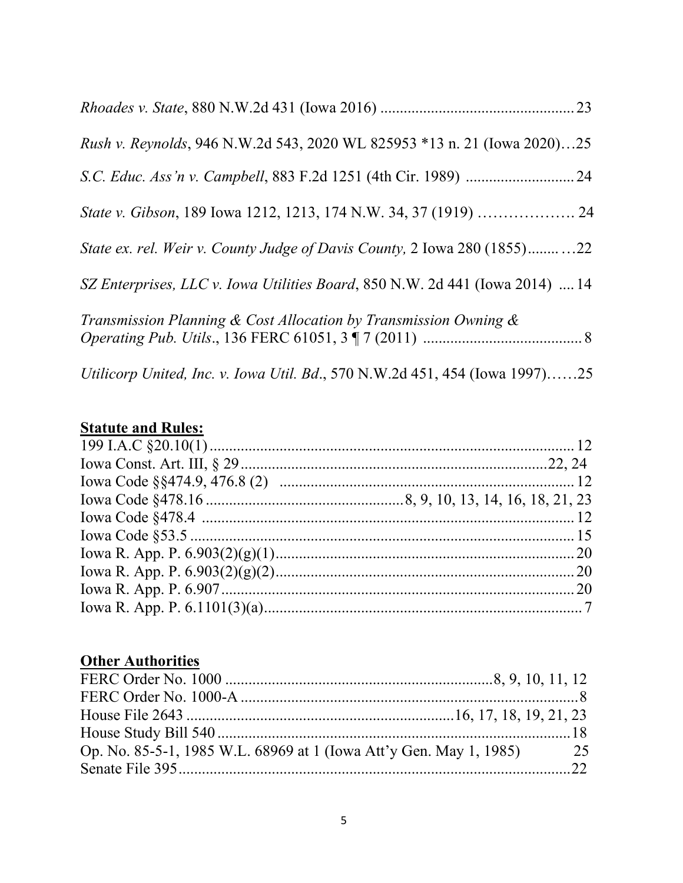| Rush v. Reynolds, 946 N.W.2d 543, 2020 WL 825953 *13 n. 21 (Iowa 2020)25     |  |
|------------------------------------------------------------------------------|--|
|                                                                              |  |
|                                                                              |  |
| State ex. rel. Weir v. County Judge of Davis County, 2 Iowa 280 (1855)22     |  |
| SZ Enterprises, LLC v. Iowa Utilities Board, 850 N.W. 2d 441 (Iowa 2014)  14 |  |
| Transmission Planning & Cost Allocation by Transmission Owning $\&$          |  |
| Utilicorp United, Inc. v. Iowa Util. Bd., 570 N.W.2d 451, 454 (Iowa 1997)25  |  |

# **Statute and Rules:**

# **Other Authorities**

| Op. No. 85-5-1, 1985 W.L. 68969 at 1 (Iowa Att'y Gen. May 1, 1985) 25 |  |
|-----------------------------------------------------------------------|--|
|                                                                       |  |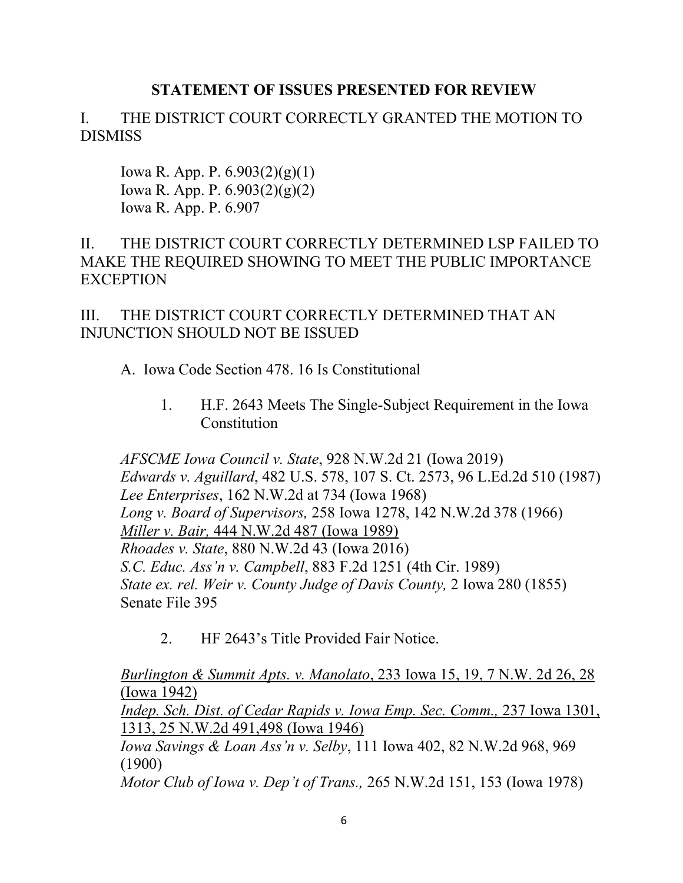### **STATEMENT OF ISSUES PRESENTED FOR REVIEW**

# I. THE DISTRICT COURT CORRECTLY GRANTED THE MOTION TO DISMISS

Iowa R. App. P. 6.903(2)(g)(1) Iowa R. App. P. 6.903(2)(g)(2) Iowa R. App. P. 6.907

### II. THE DISTRICT COURT CORRECTLY DETERMINED LSP FAILED TO MAKE THE REQUIRED SHOWING TO MEET THE PUBLIC IMPORTANCE **EXCEPTION**

III. THE DISTRICT COURT CORRECTLY DETERMINED THAT AN INJUNCTION SHOULD NOT BE ISSUED

### A. Iowa Code Section 478. 16 Is Constitutional

1. H.F. 2643 Meets The Single-Subject Requirement in the Iowa **Constitution** 

*AFSCME Iowa Council v. State*, 928 N.W.2d 21 (Iowa 2019) *Edwards v. Aguillard*[, 482 U.S. 578, 107 S. Ct. 2573, 96 L.Ed.2d 510 \(1987\)](http://www.westlaw.com/Link/Document/FullText?findType=Y&serNum=1987076775&pubNum=0000708&originatingDoc=Ib853424078c711e998e8870e22e55653&refType=RP&fi=co_pp_sp_708_2605&originationContext=document&vr=3.0&rs=cblt1.0&transitionType=DocumentItem&contextData=(sc.Search)#co_pp_sp_708_2605) *Lee Enterprises*, 162 N.W.2d at 734 (Iowa 1968) *Long v. Board of Supervisors,* [258 Iowa 1278, 142 N.W.2d 378 \(1966\)](http://www.westlaw.com/Link/Document/FullText?findType=Y&serNum=1966110886&pubNum=0000595&originatingDoc=Idc98de52ff7611d98ac8f235252e36df&refType=RP&fi=co_pp_sp_595_381&originationContext=document&vr=3.0&rs=cblt1.0&transitionType=DocumentItem&contextData=(sc.DocLink)#co_pp_sp_595_381) *Miller v. Bair,* 444 N.W.2d 487 (Iowa 1989) *Rhoades v. State*[, 880 N.W.2d 43 \(Iowa 2016\)](http://www.westlaw.com/Link/Document/FullText?findType=Y&serNum=2038680033&pubNum=0000595&originatingDoc=Ib853424078c711e998e8870e22e55653&refType=RP&fi=co_pp_sp_595_447&originationContext=document&vr=3.0&rs=cblt1.0&transitionType=DocumentItem&contextData=(sc.Search)#co_pp_sp_595_447) *S.C. Educ. Ass'n v. Campbell*[, 883 F.2d 1251 \(4th Cir. 1989\)](http://www.westlaw.com/Link/Document/FullText?findType=Y&serNum=1989124976&pubNum=0000350&originatingDoc=Ib853424078c711e998e8870e22e55653&refType=RP&fi=co_pp_sp_350_1261&originationContext=document&vr=3.0&rs=cblt1.0&transitionType=DocumentItem&contextData=(sc.Search)#co_pp_sp_350_1261) *[State ex. rel. Weir v. County Judge of Davis County,](http://www.westlaw.com/Link/Document/FullText?findType=Y&serNum=1855001127&pubNum=0000444&originatingDoc=Idc98de52ff7611d98ac8f235252e36df&refType=RP&fi=co_pp_sp_444_283&originationContext=document&vr=3.0&rs=cblt1.0&transitionType=DocumentItem&contextData=(sc.DocLink)#co_pp_sp_444_283)* 2 Iowa 280 (1855) Senate File 395

2. HF 2643's Title Provided Fair Notice.

*Burlington & Summit Apts. v. Manolato*, 233 Iowa 15, 19, 7 N.W. 2d 26, 28 (Iowa 1942) *Indep. Sch. Dist. of Cedar Rapids v. Iowa Emp. Sec. Comm., 237 Iowa 1301,* 1313, 25 N.W.2d 491,498 (Iowa 1946) *Iowa Savings & Loan Ass'n v. Selby*, 111 Iowa 402, 82 N.W.2d 968, 969 (1900) *Motor Club of Iowa v. Dep't of Trans.,* 265 N.W.2d 151, 153 (Iowa 1978)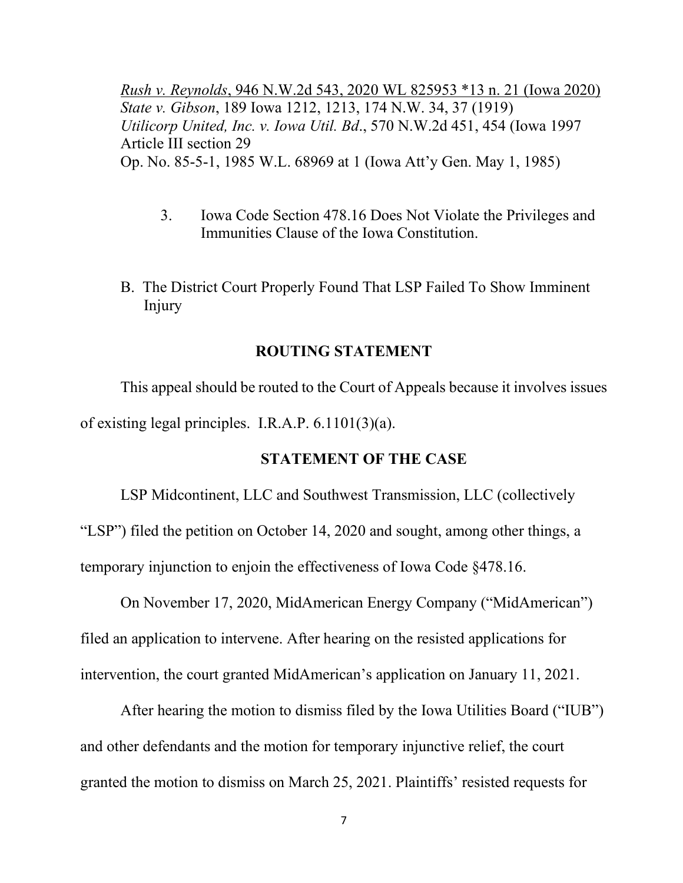*Rush v. Reynolds*, 946 N.W.2d 543, 2020 WL 825953 \*13 n. 21 (Iowa 2020) *State v. Gibson*, 189 Iowa 1212, 1213, 174 N.W. 34, 37 (1919) *Utilicorp United, Inc. v. Iowa Util. Bd*., 570 N.W.2d 451, 454 (Iowa 1997 Article III section 29 Op. No. 85-5-1, 1985 W.L. 68969 at 1 (Iowa Att'y Gen. May 1, 1985)

- 3. Iowa Code Section 478.16 Does Not Violate the Privileges and Immunities Clause of the Iowa Constitution.
- B. The District Court Properly Found That LSP Failed To Show Imminent Injury

#### **ROUTING STATEMENT**

This appeal should be routed to the Court of Appeals because it involves issues of existing legal principles. I.R.A.P. 6.1101(3)(a).

#### **STATEMENT OF THE CASE**

LSP Midcontinent, LLC and Southwest Transmission, LLC (collectively "LSP") filed the petition on October 14, 2020 and sought, among other things, a temporary injunction to enjoin the effectiveness of Iowa Code §478.16.

On November 17, 2020, MidAmerican Energy Company ("MidAmerican") filed an application to intervene. After hearing on the resisted applications for intervention, the court granted MidAmerican's application on January 11, 2021.

After hearing the motion to dismiss filed by the Iowa Utilities Board ("IUB") and other defendants and the motion for temporary injunctive relief, the court granted the motion to dismiss on March 25, 2021. Plaintiffs' resisted requests for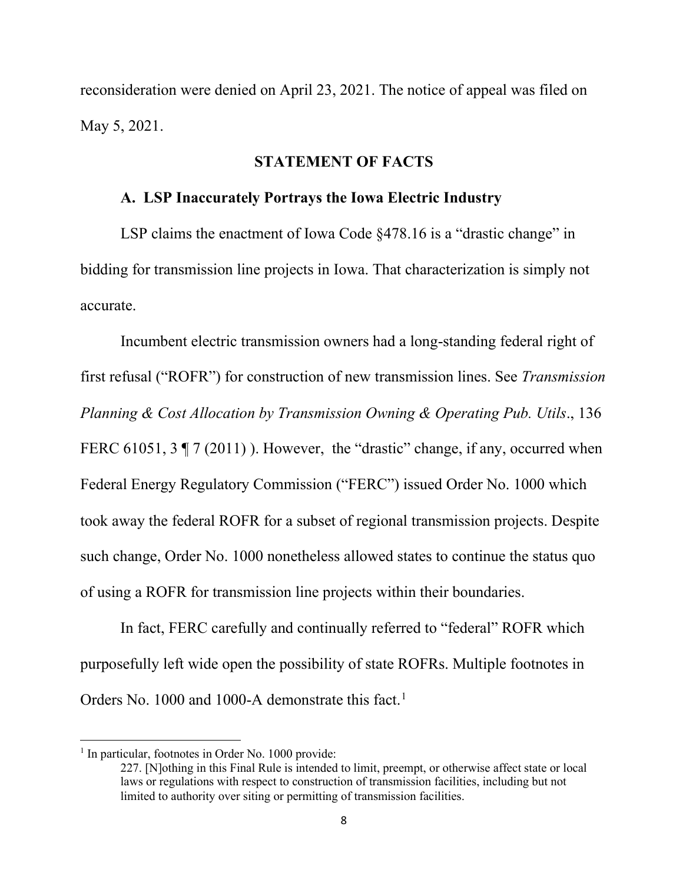reconsideration were denied on April 23, 2021. The notice of appeal was filed on May 5, 2021.

#### **STATEMENT OF FACTS**

#### **A. LSP Inaccurately Portrays the Iowa Electric Industry**

LSP claims the enactment of Iowa Code §478.16 is a "drastic change" in bidding for transmission line projects in Iowa. That characterization is simply not accurate.

Incumbent electric transmission owners had a long-standing federal right of first refusal ("ROFR") for construction of new transmission lines. See *Transmission Planning & Cost Allocation by Transmission Owning & Operating Pub. Utils*., 136 FERC 61051,  $3 \nvert 7(2011)$ . However, the "drastic" change, if any, occurred when Federal Energy Regulatory Commission ("FERC") issued Order No. 1000 which took away the federal ROFR for a subset of regional transmission projects. Despite such change, Order No. 1000 nonetheless allowed states to continue the status quo of using a ROFR for transmission line projects within their boundaries.

In fact, FERC carefully and continually referred to "federal" ROFR which purposefully left wide open the possibility of state ROFRs. Multiple footnotes in Orders No. [1](#page-7-0)000 and 1000-A demonstrate this fact.<sup>1</sup>

<span id="page-7-0"></span><sup>&</sup>lt;sup>1</sup> In particular, footnotes in Order No. 1000 provide:

<sup>227. [</sup>N]othing in this Final Rule is intended to limit, preempt, or otherwise affect state or local laws or regulations with respect to construction of transmission facilities, including but not limited to authority over siting or permitting of transmission facilities.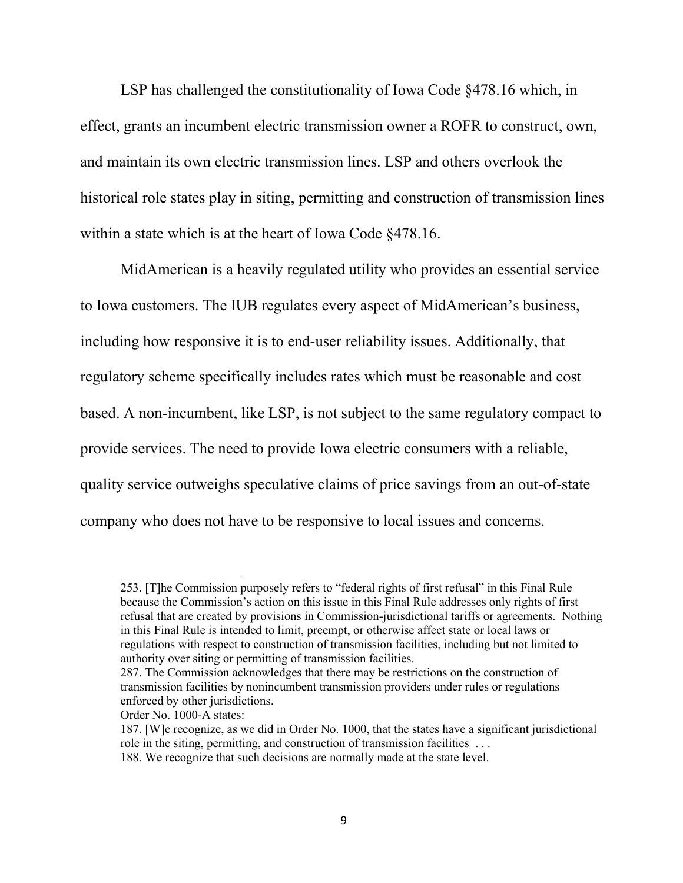LSP has challenged the constitutionality of Iowa Code §478.16 which, in effect, grants an incumbent electric transmission owner a ROFR to construct, own, and maintain its own electric transmission lines. LSP and others overlook the historical role states play in siting, permitting and construction of transmission lines within a state which is at the heart of Iowa Code §478.16.

MidAmerican is a heavily regulated utility who provides an essential service to Iowa customers. The IUB regulates every aspect of MidAmerican's business, including how responsive it is to end-user reliability issues. Additionally, that regulatory scheme specifically includes rates which must be reasonable and cost based. A non-incumbent, like LSP, is not subject to the same regulatory compact to provide services. The need to provide Iowa electric consumers with a reliable, quality service outweighs speculative claims of price savings from an out-of-state company who does not have to be responsive to local issues and concerns.

<sup>253. [</sup>T]he Commission purposely refers to "federal rights of first refusal" in this Final Rule because the Commission's action on this issue in this Final Rule addresses only rights of first refusal that are created by provisions in Commission-jurisdictional tariffs or agreements. Nothing in this Final Rule is intended to limit, preempt, or otherwise affect state or local laws or regulations with respect to construction of transmission facilities, including but not limited to authority over siting or permitting of transmission facilities.

<sup>287.</sup> The Commission acknowledges that there may be restrictions on the construction of transmission facilities by nonincumbent transmission providers under rules or regulations enforced by other jurisdictions.

Order No. 1000-A states:

<sup>187. [</sup>W]e recognize, as we did in Order No. 1000, that the states have a significant jurisdictional role in the siting, permitting, and construction of transmission facilities . . .

<sup>188.</sup> We recognize that such decisions are normally made at the state level.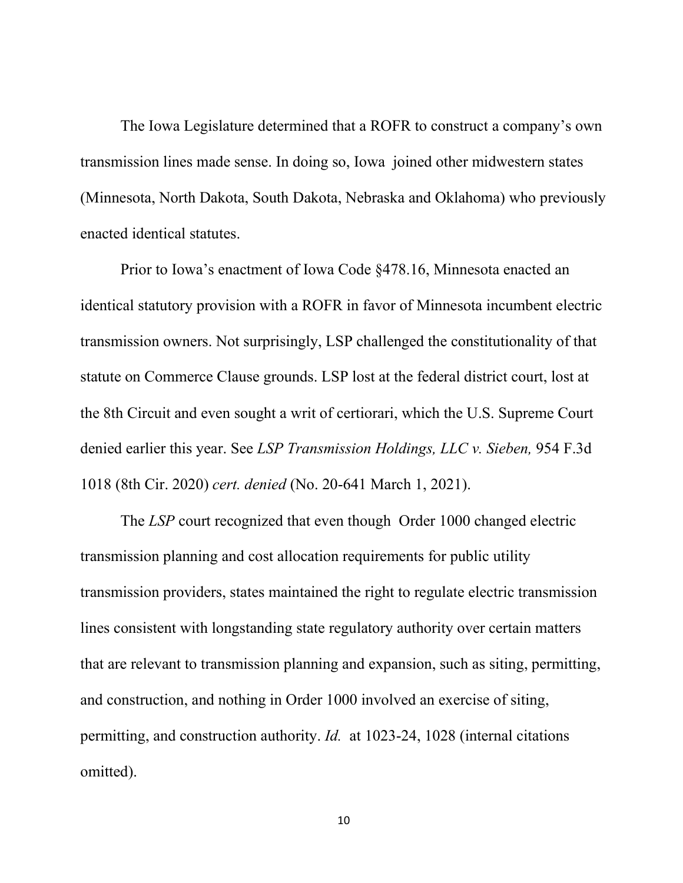The Iowa Legislature determined that a ROFR to construct a company's own transmission lines made sense. In doing so, Iowa joined other midwestern states (Minnesota, North Dakota, South Dakota, Nebraska and Oklahoma) who previously enacted identical statutes.

Prior to Iowa's enactment of Iowa Code §478.16, Minnesota enacted an identical statutory provision with a ROFR in favor of Minnesota incumbent electric transmission owners. Not surprisingly, LSP challenged the constitutionality of that statute on Commerce Clause grounds. LSP lost at the federal district court, lost at the 8th Circuit and even sought a writ of certiorari, which the U.S. Supreme Court denied earlier this year. See *LSP Transmission Holdings, LLC v. Sieben,* 954 F.3d 1018 (8th Cir. 2020) *cert. denied* (No. 20-641 March 1, 2021).

The *LSP* court recognized that even though Order 1000 changed electric transmission planning and cost allocation requirements for public utility transmission providers, states maintained the right to regulate electric transmission lines consistent with longstanding state regulatory authority over certain matters that are relevant to transmission planning and expansion, such as siting, permitting, and construction, and nothing in Order 1000 involved an exercise of siting, permitting, and construction authority. *Id.* at 1023-24, 1028 (internal citations omitted).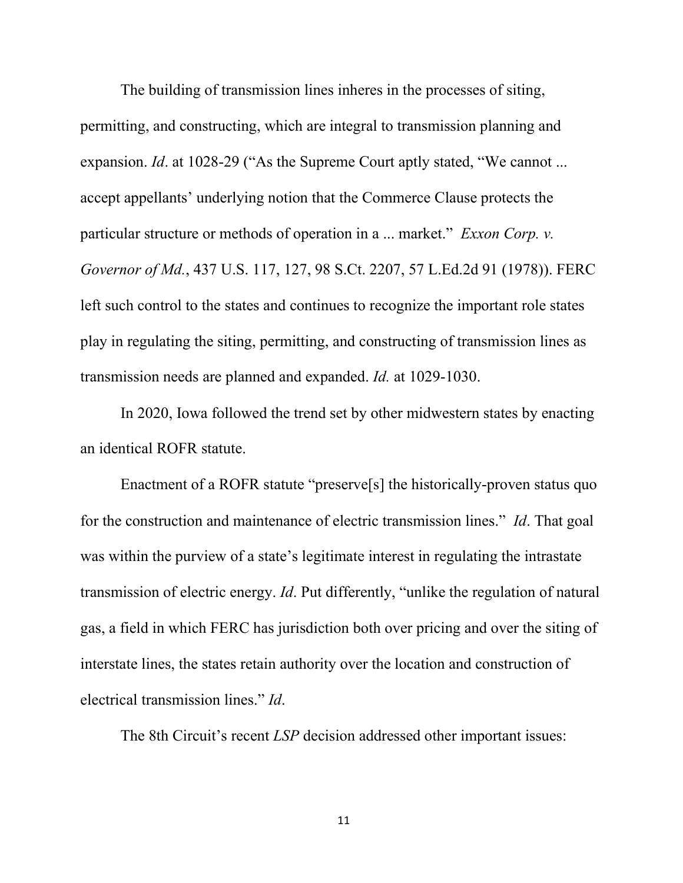The building of transmission lines inheres in the processes of siting, permitting, and constructing, which are integral to transmission planning and expansion. *Id.* at 1028-29 ("As the Supreme Court aptly stated, "We cannot ... accept appellants' underlying notion that the Commerce Clause protects the particular structure or methods of operation in a ... market." *[Exxon Corp. v.](http://www.westlaw.com/Link/Document/FullText?findType=Y&serNum=1978114261&pubNum=0000780&originatingDoc=I75143ee06ef711ea99df8ae889484d86&refType=RP&fi=co_pp_sp_780_127&originationContext=document&vr=3.0&rs=cblt1.0&transitionType=DocumentItem&contextData=(sc.Search)#co_pp_sp_780_127)  Governor of Md.*[, 437 U.S. 117, 127, 98 S.Ct. 2207, 57 L.Ed.2d 91 \(1978\)\)](http://www.westlaw.com/Link/Document/FullText?findType=Y&serNum=1978114261&pubNum=0000780&originatingDoc=I75143ee06ef711ea99df8ae889484d86&refType=RP&fi=co_pp_sp_780_127&originationContext=document&vr=3.0&rs=cblt1.0&transitionType=DocumentItem&contextData=(sc.Search)#co_pp_sp_780_127). FERC left such control to the states and continues to recognize the important role states play in regulating the siting, permitting, and constructing of transmission lines as transmission needs are planned and expanded. *Id.* at 1029-1030.

In 2020, Iowa followed the trend set by other midwestern states by enacting an identical ROFR statute.

Enactment of a ROFR statute "preserve[s] the historically-proven status quo for the construction and maintenance of electric transmission lines." *Id*. That goal was within the purview of a state's legitimate interest in regulating the intrastate transmission of electric energy. *Id*. Put differently, "unlike the regulation of natural gas, a field in which FERC has jurisdiction both over pricing and over the siting of interstate lines, the states retain authority over the location and construction of electrical transmission lines." *Id*.

The 8th Circuit's recent *LSP* decision addressed other important issues: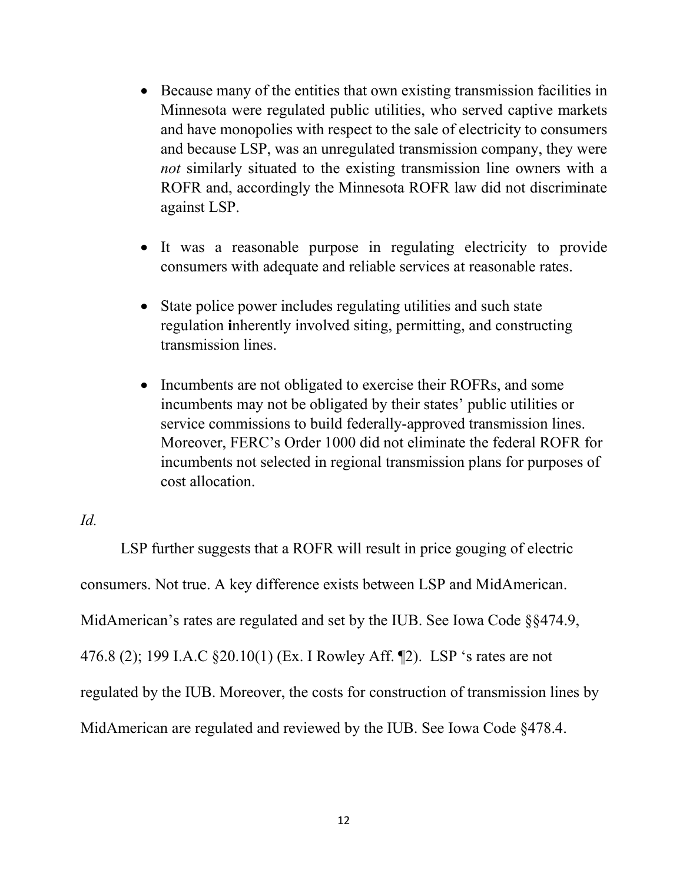- Because many of the entities that own existing transmission facilities in Minnesota were regulated public utilities, who served captive markets and have monopolies with respect to the sale of electricity to consumers and because LSP, was an unregulated transmission company, they were *not* similarly situated to the existing transmission line owners with a ROFR and, accordingly the Minnesota ROFR law did not discriminate against LSP.
- It was a reasonable purpose in regulating electricity to provide consumers with adequate and reliable services at reasonable rates.
- State police power includes regulating utilities and such state regulation **i**nherently involved siting, permitting, and constructing transmission lines.
- Incumbents are not obligated to exercise their ROFRs, and some incumbents may not be obligated by their states' public utilities or service commissions to build federally-approved transmission lines. Moreover, FERC's Order 1000 did not eliminate the federal ROFR for incumbents not selected in regional transmission plans for purposes of cost allocation.

#### *Id.*

LSP further suggests that a ROFR will result in price gouging of electric consumers. Not true. A key difference exists between LSP and MidAmerican. MidAmerican's rates are regulated and set by the IUB. See Iowa Code §§474.9, 476.8 (2); 199 I.A.C §20.10(1) (Ex. I Rowley Aff. ¶2). LSP 's rates are not regulated by the IUB. Moreover, the costs for construction of transmission lines by MidAmerican are regulated and reviewed by the IUB. See Iowa Code §478.4.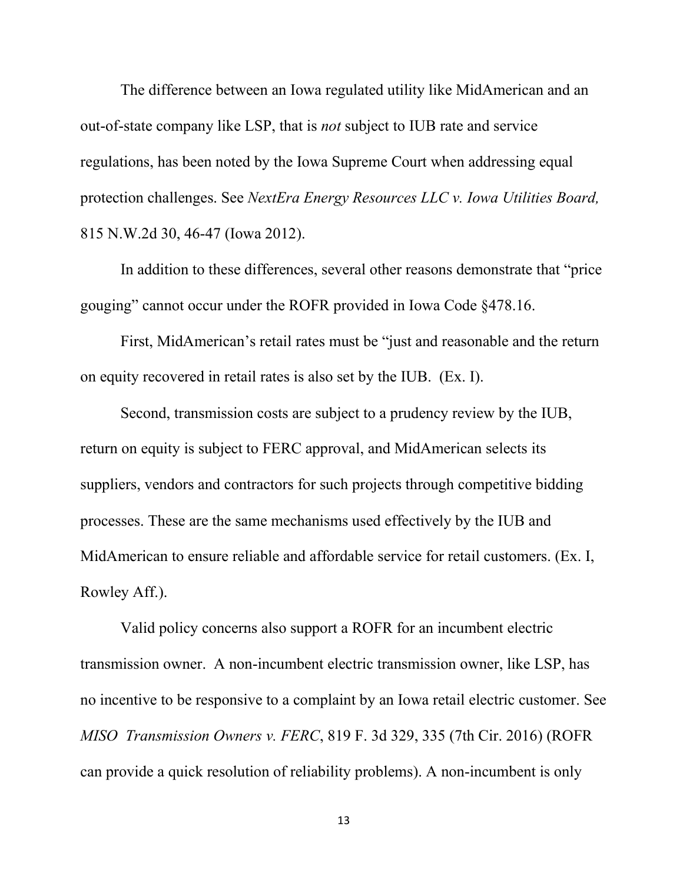The difference between an Iowa regulated utility like MidAmerican and an out-of-state company like LSP, that is *not* subject to IUB rate and service regulations, has been noted by the Iowa Supreme Court when addressing equal protection challenges. See *NextEra Energy Resources LLC v. Iowa Utilities Board,*  815 N.W.2d 30, 46-47 (Iowa 2012).

In addition to these differences, several other reasons demonstrate that "price gouging" cannot occur under the ROFR provided in Iowa Code §478.16.

First, MidAmerican's retail rates must be "just and reasonable and the return on equity recovered in retail rates is also set by the IUB. (Ex. I).

Second, transmission costs are subject to a prudency review by the IUB, return on equity is subject to FERC approval, and MidAmerican selects its suppliers, vendors and contractors for such projects through competitive bidding processes. These are the same mechanisms used effectively by the IUB and MidAmerican to ensure reliable and affordable service for retail customers. (Ex. I, Rowley Aff.).

Valid policy concerns also support a ROFR for an incumbent electric transmission owner. A non-incumbent electric transmission owner, like LSP, has no incentive to be responsive to a complaint by an Iowa retail electric customer. See *MISO Transmission Owners v. FERC*, 819 F. 3d 329, 335 (7th Cir. 2016) (ROFR can provide a quick resolution of reliability problems). A non-incumbent is only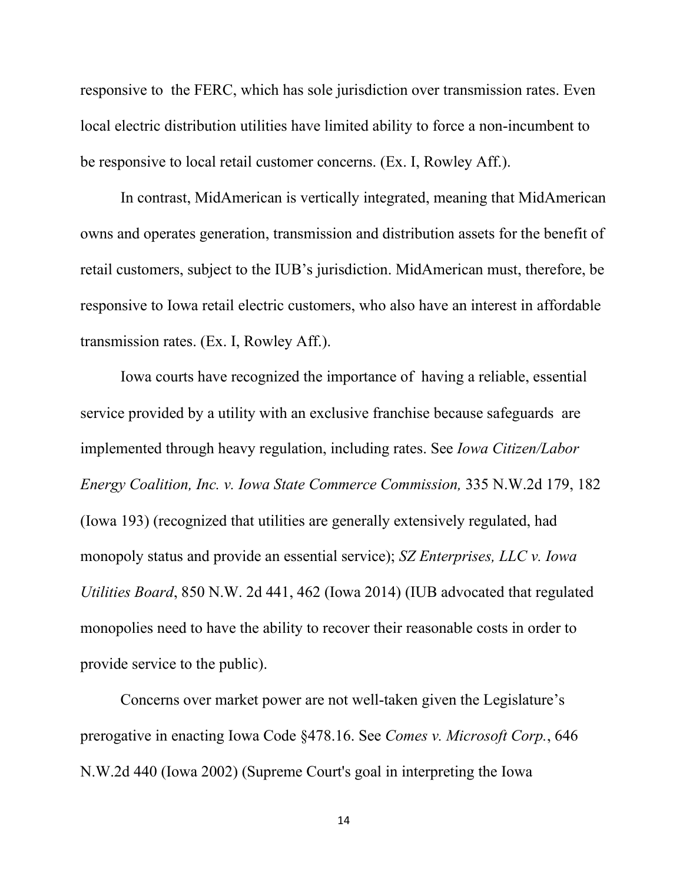responsive to the FERC, which has sole jurisdiction over transmission rates. Even local electric distribution utilities have limited ability to force a non-incumbent to be responsive to local retail customer concerns. (Ex. I, Rowley Aff.).

In contrast, MidAmerican is vertically integrated, meaning that MidAmerican owns and operates generation, transmission and distribution assets for the benefit of retail customers, subject to the IUB's jurisdiction. MidAmerican must, therefore, be responsive to Iowa retail electric customers, who also have an interest in affordable transmission rates. (Ex. I, Rowley Aff.).

Iowa courts have recognized the importance of having a reliable, essential service provided by a utility with an exclusive franchise because safeguards are implemented through heavy regulation, including rates. See *Iowa Citizen/Labor Energy Coalition, Inc. v. Iowa State Commerce Commission,* 335 N.W.2d 179, 182 (Iowa 193) (recognized that utilities are generally extensively regulated, had monopoly status and provide an essential service); *SZ Enterprises, LLC v. Iowa Utilities Board*, 850 N.W. 2d 441, 462 (Iowa 2014) (IUB advocated that regulated monopolies need to have the ability to recover their reasonable costs in order to provide service to the public).

Concerns over market power are not well-taken given the Legislature's prerogative in enacting Iowa Code §478.16. See *[Comes v. Microsoft Corp.](https://protect-eu.mimecast.com/s/TNMqCqYRgt88MVPPcZdAGP)*, 646 [N.W.2d 440](https://protect-eu.mimecast.com/s/TNMqCqYRgt88MVPPcZdAGP) (Iowa 2002) (Supreme Court's goal in interpreting the Iowa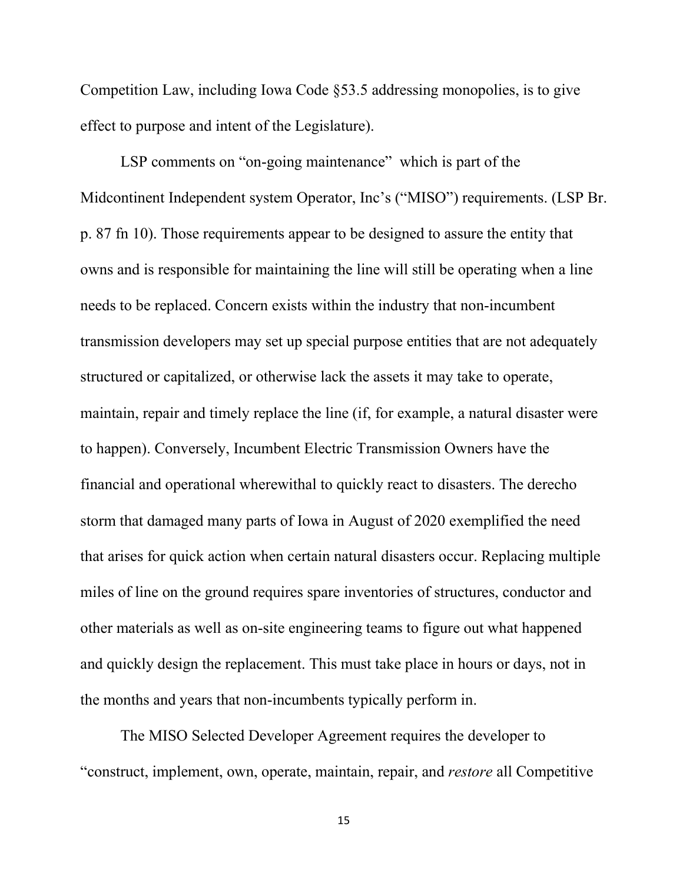Competition Law, including Iowa Code §53.5 addressing monopolies, is to give effect to purpose and intent of the Legislature).

LSP comments on "on-going maintenance" which is part of the Midcontinent Independent system Operator, Inc's ("MISO") requirements. (LSP Br. p. 87 fn 10). Those requirements appear to be designed to assure the entity that owns and is responsible for maintaining the line will still be operating when a line needs to be replaced. Concern exists within the industry that non-incumbent transmission developers may set up special purpose entities that are not adequately structured or capitalized, or otherwise lack the assets it may take to operate, maintain, repair and timely replace the line (if, for example, a natural disaster were to happen). Conversely, Incumbent Electric Transmission Owners have the financial and operational wherewithal to quickly react to disasters. The derecho storm that damaged many parts of Iowa in August of 2020 exemplified the need that arises for quick action when certain natural disasters occur. Replacing multiple miles of line on the ground requires spare inventories of structures, conductor and other materials as well as on-site engineering teams to figure out what happened and quickly design the replacement. This must take place in hours or days, not in the months and years that non-incumbents typically perform in.

The MISO Selected Developer Agreement requires the developer to "construct, implement, own, operate, maintain, repair, and *restore* all Competitive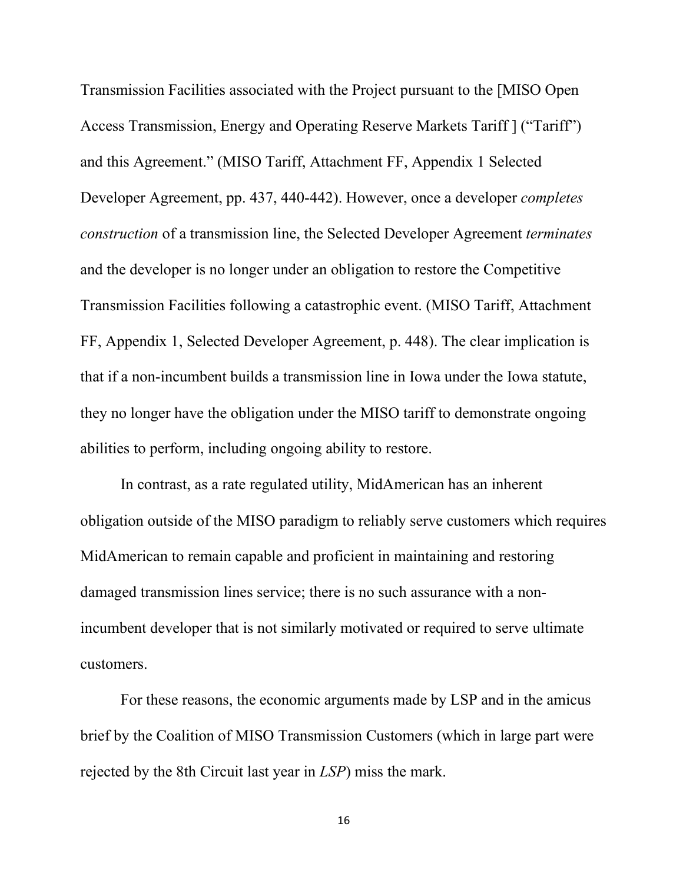Transmission Facilities associated with the Project pursuant to the [MISO Open Access Transmission, Energy and Operating Reserve Markets Tariff ] ("Tariff") and this Agreement." (MISO Tariff, Attachment FF, Appendix 1 Selected Developer Agreement, pp. 437, 440-442). However, once a developer *completes construction* of a transmission line, the Selected Developer Agreement *terminates* and the developer is no longer under an obligation to restore the Competitive Transmission Facilities following a catastrophic event. (MISO Tariff, Attachment FF, Appendix 1, Selected Developer Agreement, p. 448). The clear implication is that if a non-incumbent builds a transmission line in Iowa under the Iowa statute, they no longer have the obligation under the MISO tariff to demonstrate ongoing abilities to perform, including ongoing ability to restore.

In contrast, as a rate regulated utility, MidAmerican has an inherent obligation outside of the MISO paradigm to reliably serve customers which requires MidAmerican to remain capable and proficient in maintaining and restoring damaged transmission lines service; there is no such assurance with a nonincumbent developer that is not similarly motivated or required to serve ultimate customers.

For these reasons, the economic arguments made by LSP and in the amicus brief by the Coalition of MISO Transmission Customers (which in large part were rejected by the 8th Circuit last year in *LSP*) miss the mark.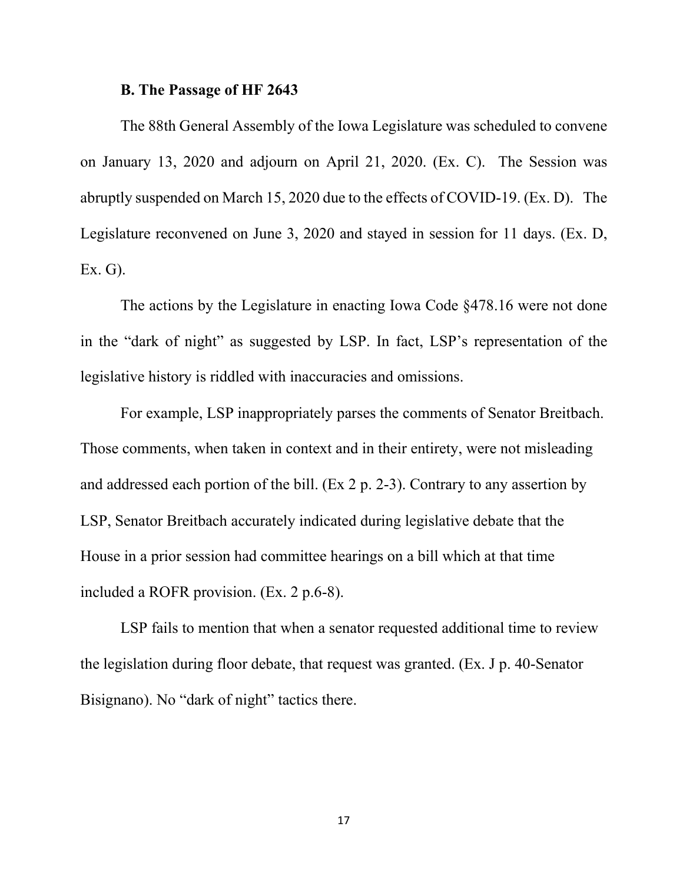#### **B. The Passage of HF 2643**

The 88th General Assembly of the Iowa Legislature was scheduled to convene on January 13, 2020 and adjourn on April 21, 2020. (Ex. C). The Session was abruptly suspended on March 15, 2020 due to the effects of COVID-19. (Ex. D). The Legislature reconvened on June 3, 2020 and stayed in session for 11 days. (Ex. D, Ex. G).

The actions by the Legislature in enacting Iowa Code §478.16 were not done in the "dark of night" as suggested by LSP. In fact, LSP's representation of the legislative history is riddled with inaccuracies and omissions.

For example, LSP inappropriately parses the comments of Senator Breitbach. Those comments, when taken in context and in their entirety, were not misleading and addressed each portion of the bill. (Ex 2 p. 2-3). Contrary to any assertion by LSP, Senator Breitbach accurately indicated during legislative debate that the House in a prior session had committee hearings on a bill which at that time included a ROFR provision. (Ex. 2 p.6-8).

LSP fails to mention that when a senator requested additional time to review the legislation during floor debate, that request was granted. (Ex. J p. 40-Senator Bisignano). No "dark of night" tactics there.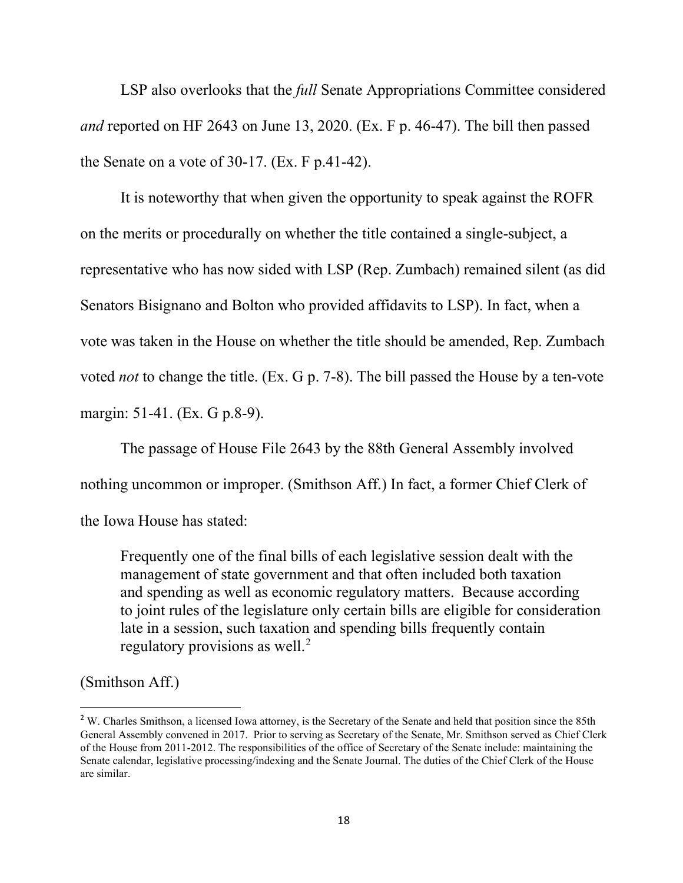LSP also overlooks that the *full* Senate Appropriations Committee considered *and* reported on HF 2643 on June 13, 2020. (Ex. F p. 46-47). The bill then passed the Senate on a vote of 30-17. (Ex. F p.41-42).

It is noteworthy that when given the opportunity to speak against the ROFR on the merits or procedurally on whether the title contained a single-subject, a representative who has now sided with LSP (Rep. Zumbach) remained silent (as did Senators Bisignano and Bolton who provided affidavits to LSP). In fact, when a vote was taken in the House on whether the title should be amended, Rep. Zumbach voted *not* to change the title. (Ex. G p. 7-8). The bill passed the House by a ten-vote margin: 51-41. (Ex. G p.8-9).

The passage of House File 2643 by the 88th General Assembly involved nothing uncommon or improper. (Smithson Aff.) In fact, a former Chief Clerk of the Iowa House has stated:

Frequently one of the final bills of each legislative session dealt with the management of state government and that often included both taxation and spending as well as economic regulatory matters. Because according to joint rules of the legislature only certain bills are eligible for consideration late in a session, such taxation and spending bills frequently contain regulatory provisions as well.<sup>[2](#page-17-0)</sup>

#### (Smithson Aff.)

<span id="page-17-0"></span><sup>&</sup>lt;sup>2</sup> W. Charles Smithson, a licensed Iowa attorney, is the Secretary of the Senate and held that position since the 85th General Assembly convened in 2017. Prior to serving as Secretary of the Senate, Mr. Smithson served as Chief Clerk of the House from 2011-2012. The responsibilities of the office of Secretary of the Senate include: maintaining the Senate calendar, legislative processing/indexing and the Senate Journal. The duties of the Chief Clerk of the House are similar.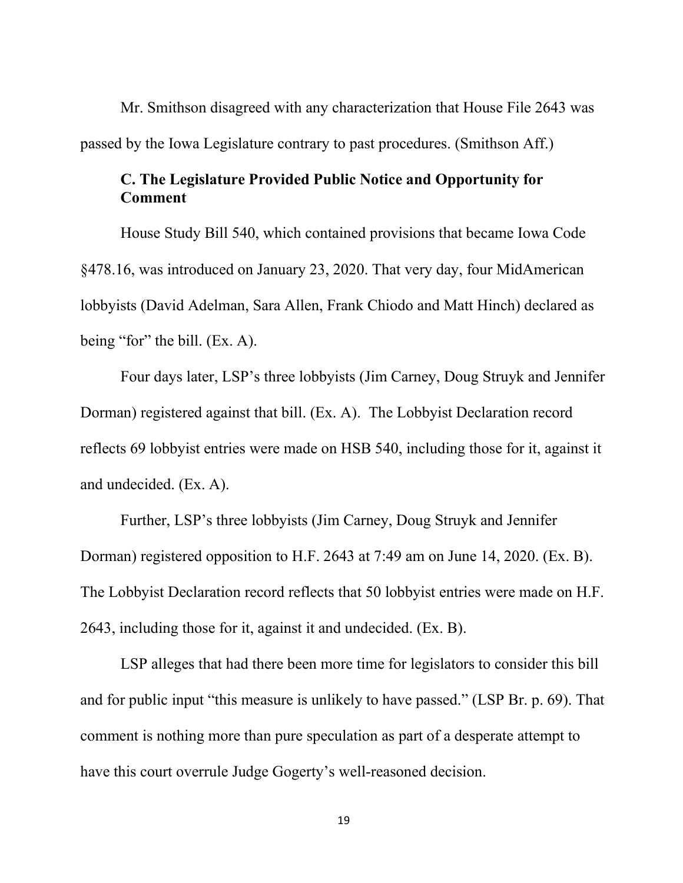Mr. Smithson disagreed with any characterization that House File 2643 was passed by the Iowa Legislature contrary to past procedures. (Smithson Aff.)

### **C. The Legislature Provided Public Notice and Opportunity for Comment**

House Study Bill 540, which contained provisions that became Iowa Code §478.16, was introduced on January 23, 2020. That very day, four MidAmerican lobbyists (David Adelman, Sara Allen, Frank Chiodo and Matt Hinch) declared as being "for" the bill. (Ex. A).

Four days later, LSP's three lobbyists (Jim Carney, Doug Struyk and Jennifer Dorman) registered against that bill. (Ex. A). The Lobbyist Declaration record reflects 69 lobbyist entries were made on HSB 540, including those for it, against it and undecided. (Ex. A).

Further, LSP's three lobbyists (Jim Carney, Doug Struyk and Jennifer Dorman) registered opposition to H.F. 2643 at 7:49 am on June 14, 2020. (Ex. B). The Lobbyist Declaration record reflects that 50 lobbyist entries were made on H.F. 2643, including those for it, against it and undecided. (Ex. B).

LSP alleges that had there been more time for legislators to consider this bill and for public input "this measure is unlikely to have passed." (LSP Br. p. 69). That comment is nothing more than pure speculation as part of a desperate attempt to have this court overrule Judge Gogerty's well-reasoned decision.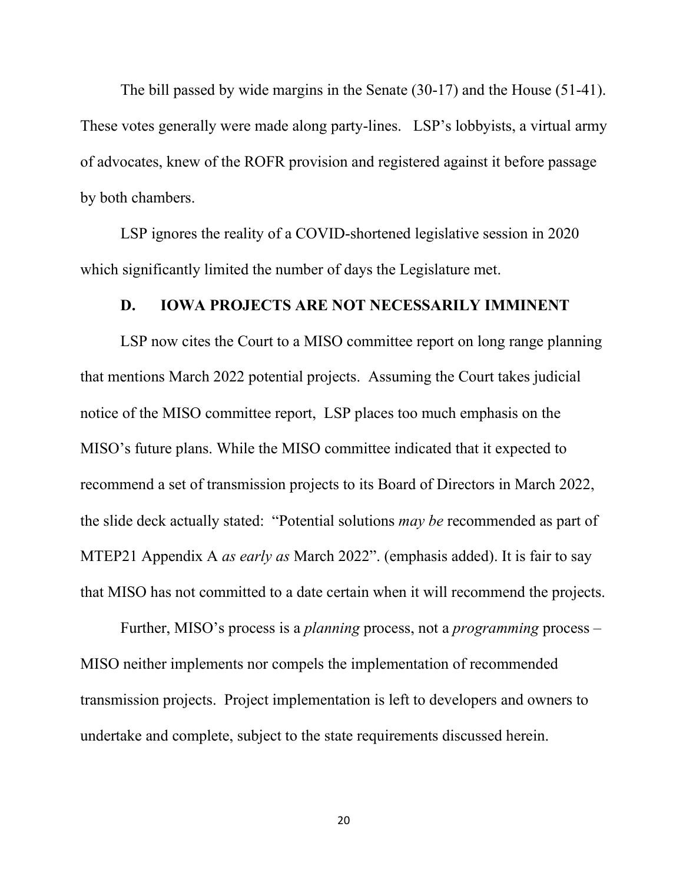The bill passed by wide margins in the Senate (30-17) and the House (51-41). These votes generally were made along party-lines. LSP's lobbyists, a virtual army of advocates, knew of the ROFR provision and registered against it before passage by both chambers.

LSP ignores the reality of a COVID-shortened legislative session in 2020 which significantly limited the number of days the Legislature met.

#### **D. IOWA PROJECTS ARE NOT NECESSARILY IMMINENT**

LSP now cites the Court to a MISO committee report on long range planning that mentions March 2022 potential projects. Assuming the Court takes judicial notice of the MISO committee report, LSP places too much emphasis on the MISO's future plans. While the MISO committee indicated that it expected to recommend a set of transmission projects to its Board of Directors in March 2022, the slide deck actually stated: "Potential solutions *may be* recommended as part of MTEP21 Appendix A *as early as* March 2022". (emphasis added). It is fair to say that MISO has not committed to a date certain when it will recommend the projects.

Further, MISO's process is a *planning* process, not a *programming* process – MISO neither implements nor compels the implementation of recommended transmission projects. Project implementation is left to developers and owners to undertake and complete, subject to the state requirements discussed herein.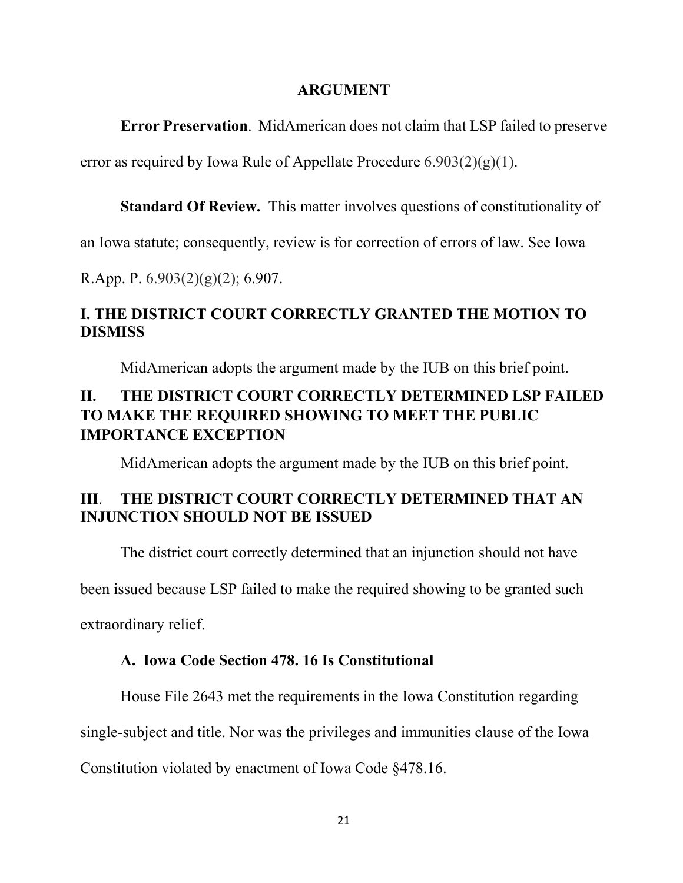#### **ARGUMENT**

**Error Preservation**. MidAmerican does not claim that LSP failed to preserve

error as required by Iowa Rule of Appellate Procedure  $6.903(2)(g)(1)$ .

**Standard Of Review.** This matter involves questions of constitutionality of

an Iowa statute; consequently, review is for correction of errors of law. See [Iowa](https://web2.westlaw.com/find/default.wl?mt=Iowa&db=1000256&rs=WLW15.04&docname=IAR6.907&rp=%2ffind%2fdefault.wl&findtype=L&ordoc=2032969954&tc=-1&vr=2.0&fn=_top&sv=Split&tf=-1&pbc=4FED869A&utid=1) 

[R.App. P. 6.903\(2\)\(g\)\(2\); 6.907.](https://web2.westlaw.com/find/default.wl?mt=Iowa&db=1000256&rs=WLW15.04&docname=IAR6.907&rp=%2ffind%2fdefault.wl&findtype=L&ordoc=2032969954&tc=-1&vr=2.0&fn=_top&sv=Split&tf=-1&pbc=4FED869A&utid=1)

## **I. THE DISTRICT COURT CORRECTLY GRANTED THE MOTION TO DISMISS**

MidAmerican adopts the argument made by the IUB on this brief point.

# **II. THE DISTRICT COURT CORRECTLY DETERMINED LSP FAILED TO MAKE THE REQUIRED SHOWING TO MEET THE PUBLIC IMPORTANCE EXCEPTION**

MidAmerican adopts the argument made by the IUB on this brief point.

# **III**. **THE DISTRICT COURT CORRECTLY DETERMINED THAT AN INJUNCTION SHOULD NOT BE ISSUED**

The district court correctly determined that an injunction should not have

been issued because LSP failed to make the required showing to be granted such

extraordinary relief.

### **A. Iowa Code Section 478. 16 Is Constitutional**

House File 2643 met the requirements in the Iowa Constitution regarding

single-subject and title. Nor was the privileges and immunities clause of the Iowa

Constitution violated by enactment of Iowa Code §478.16.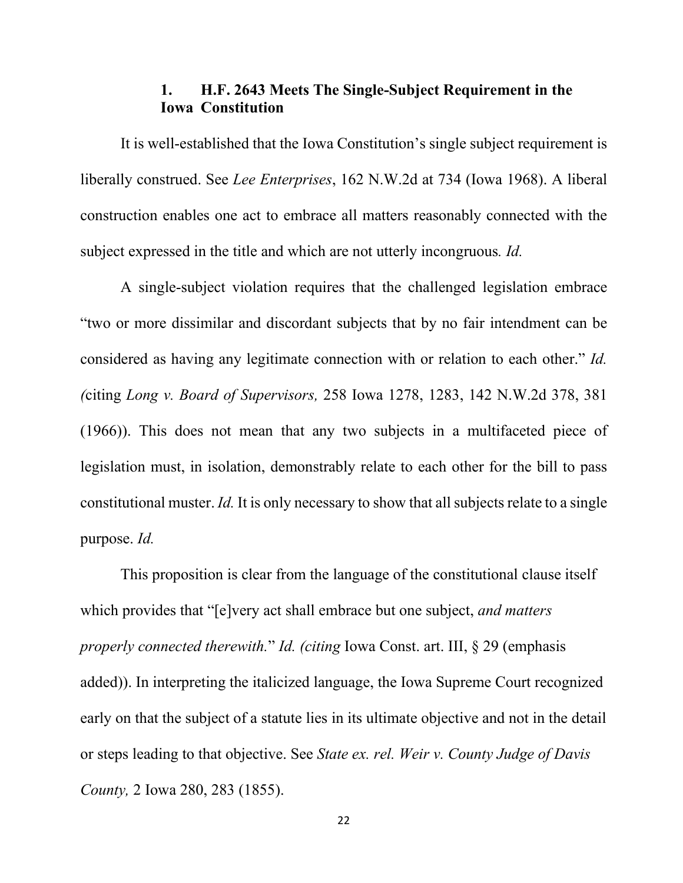### **1. H.F. 2643 Meets The Single-Subject Requirement in the Iowa Constitution**

It is well-established that the Iowa Constitution's single subject requirement is liberally construed. See *Lee Enterprises*, 162 N.W.2d at 734 (Iowa 1968). A liberal construction enables one act to embrace all matters reasonably connected with the subject expressed in the title and which are not utterly incongruous*. Id.*

A single-subject violation requires that the challenged legislation embrace "two or more dissimilar and discordant subjects that by no fair intendment can be considered as having any legitimate connection with or relation to each other." *Id. (*citing *Long v. Board of Supervisors,* [258 Iowa 1278, 1283, 142 N.W.2d 378, 381](http://www.westlaw.com/Link/Document/FullText?findType=Y&serNum=1966110886&pubNum=0000595&originatingDoc=Idc98de52ff7611d98ac8f235252e36df&refType=RP&fi=co_pp_sp_595_381&originationContext=document&vr=3.0&rs=cblt1.0&transitionType=DocumentItem&contextData=(sc.DocLink)#co_pp_sp_595_381)  [\(1966\)\)](http://www.westlaw.com/Link/Document/FullText?findType=Y&serNum=1966110886&pubNum=0000595&originatingDoc=Idc98de52ff7611d98ac8f235252e36df&refType=RP&fi=co_pp_sp_595_381&originationContext=document&vr=3.0&rs=cblt1.0&transitionType=DocumentItem&contextData=(sc.DocLink)#co_pp_sp_595_381). This does not mean that any two subjects in a multifaceted piece of legislation must, in isolation, demonstrably relate to each other for the bill to pass constitutional muster. *Id.* It is only necessary to show that all subjects relate to a single purpose. *Id.*

This proposition is clear from the language of the constitutional clause itself which provides that "[e]very act shall embrace but one subject, *and matters properly connected therewith.*" *Id. (citing* [Iowa Const. art. III, § 29](http://www.westlaw.com/Link/Document/FullText?findType=L&pubNum=1000371&cite=IACNART3S29&originatingDoc=Idc98de52ff7611d98ac8f235252e36df&refType=LQ&originationContext=document&vr=3.0&rs=cblt1.0&transitionType=DocumentItem&contextData=(sc.DocLink)) (emphasis added)). In interpreting the italicized language, the Iowa Supreme Court recognized early on that the subject of a statute lies in its ultimate objective and not in the detail or steps leading to that objective. See *[State ex. rel. Weir v. County Judge of Davis](http://www.westlaw.com/Link/Document/FullText?findType=Y&serNum=1855001127&pubNum=0000444&originatingDoc=Idc98de52ff7611d98ac8f235252e36df&refType=RP&fi=co_pp_sp_444_283&originationContext=document&vr=3.0&rs=cblt1.0&transitionType=DocumentItem&contextData=(sc.DocLink)#co_pp_sp_444_283)  County,* [2 Iowa 280, 283 \(1855\).](http://www.westlaw.com/Link/Document/FullText?findType=Y&serNum=1855001127&pubNum=0000444&originatingDoc=Idc98de52ff7611d98ac8f235252e36df&refType=RP&fi=co_pp_sp_444_283&originationContext=document&vr=3.0&rs=cblt1.0&transitionType=DocumentItem&contextData=(sc.DocLink)#co_pp_sp_444_283)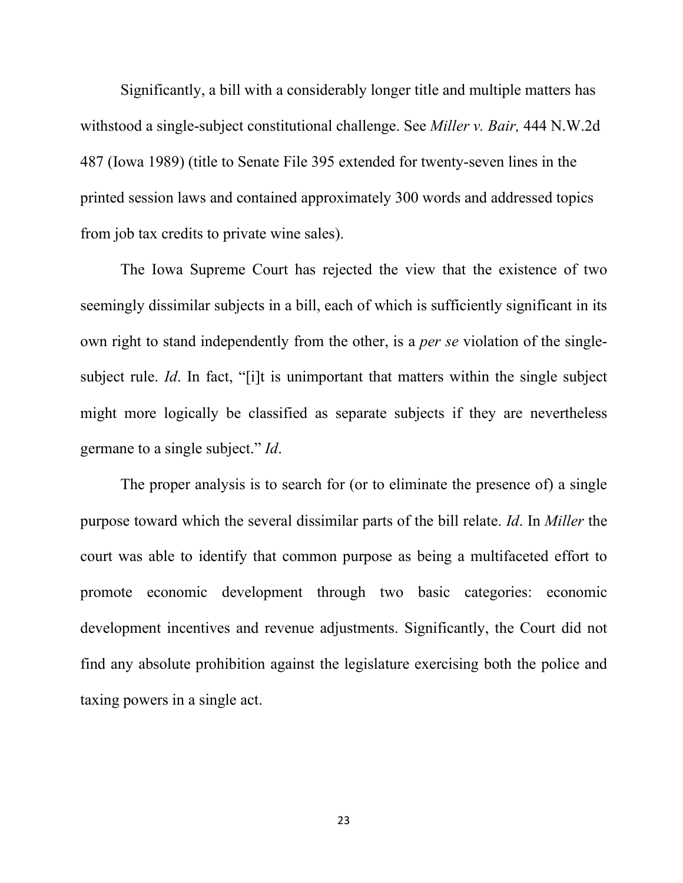Significantly, a bill with a considerably longer title and multiple matters has withstood a single-subject constitutional challenge. See *Miller v. Bair,* 444 N.W.2d 487 (Iowa 1989) (title to Senate File 395 extended for twenty-seven lines in the printed session laws and contained approximately 300 words and addressed topics from job tax credits to private wine sales).

The Iowa Supreme Court has rejected the view that the existence of two seemingly dissimilar subjects in a bill, each of which is sufficiently significant in its own right to stand independently from the other, is a *per se* violation of the singlesubject rule. *Id*. In fact, "[i]t is unimportant that matters within the single subject might more logically be classified as separate subjects if they are nevertheless germane to a single subject." *Id*.

The proper analysis is to search for (or to eliminate the presence of) a single purpose toward which the several dissimilar parts of the bill relate. *Id*. In *Miller* the court was able to identify that common purpose as being a multifaceted effort to promote economic development through two basic categories: economic development incentives and revenue adjustments. Significantly, the Court did not find any absolute prohibition against the legislature exercising both the police and taxing powers in a single act.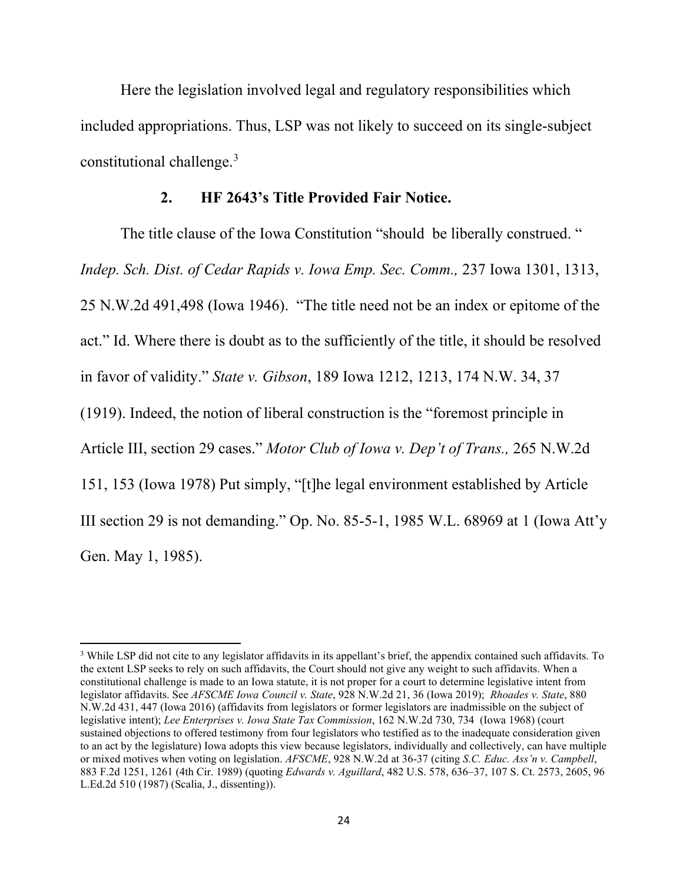Here the legislation involved legal and regulatory responsibilities which included appropriations. Thus, LSP was not likely to succeed on its single-subject constitutional challenge.<sup>[3](#page-23-0)</sup>

#### **2. HF 2643's Title Provided Fair Notice.**

The title clause of the Iowa Constitution "should be liberally construed. " *Indep. Sch. Dist. of Cedar Rapids v. Iowa Emp. Sec. Comm., 237 Iowa 1301, 1313,* 25 N.W.2d 491,498 (Iowa 1946). "The title need not be an index or epitome of the act." Id. Where there is doubt as to the sufficiently of the title, it should be resolved in favor of validity." *State v. Gibson*, 189 Iowa 1212, 1213, 174 N.W. 34, 37 (1919). Indeed, the notion of liberal construction is the "foremost principle in Article III, section 29 cases." *Motor Club of Iowa v. Dep't of Trans.,* 265 N.W.2d 151, 153 (Iowa 1978) Put simply, "[t]he legal environment established by Article III section 29 is not demanding." Op. No. 85-5-1, 1985 W.L. 68969 at 1 (Iowa Att'y Gen. May 1, 1985).

<span id="page-23-0"></span><sup>3</sup> While LSP did not cite to any legislator affidavits in its appellant's brief, the appendix contained such affidavits. To the extent LSP seeks to rely on such affidavits, the Court should not give any weight to such affidavits. When a constitutional challenge is made to an Iowa statute, it is not proper for a court to determine legislative intent from legislator affidavits. See *AFSCME Iowa Council v. State*, 928 N.W.2d 21, 36 (Iowa 2019); *[Rhoades v. State](http://www.westlaw.com/Link/Document/FullText?findType=Y&serNum=2038680033&pubNum=0000595&originatingDoc=Ib853424078c711e998e8870e22e55653&refType=RP&fi=co_pp_sp_595_447&originationContext=document&vr=3.0&rs=cblt1.0&transitionType=DocumentItem&contextData=(sc.Search)#co_pp_sp_595_447)*, 880 [N.W.2d 431, 447 \(Iowa 2016\)](http://www.westlaw.com/Link/Document/FullText?findType=Y&serNum=2038680033&pubNum=0000595&originatingDoc=Ib853424078c711e998e8870e22e55653&refType=RP&fi=co_pp_sp_595_447&originationContext=document&vr=3.0&rs=cblt1.0&transitionType=DocumentItem&contextData=(sc.Search)#co_pp_sp_595_447) (affidavits from legislators or former legislators are inadmissible on the subject of legislative intent); *Lee Enterprises v. Iowa State Tax Commission*, 162 N.W.2d 730, 734 (Iowa 1968) (court sustained objections to offered testimony from four legislators who testified as to the inadequate consideration given to an act by the legislature) Iowa adopts this view because legislators, individually and collectively, can have multiple or mixed motives when voting on legislation. *AFSCME*, 928 N.W.2d at 36-37 (citing *[S.C. Educ. Ass'n v. Campbell](http://www.westlaw.com/Link/Document/FullText?findType=Y&serNum=1989124976&pubNum=0000350&originatingDoc=Ib853424078c711e998e8870e22e55653&refType=RP&fi=co_pp_sp_350_1261&originationContext=document&vr=3.0&rs=cblt1.0&transitionType=DocumentItem&contextData=(sc.Search)#co_pp_sp_350_1261)*, [883 F.2d 1251, 1261 \(4th Cir. 1989\)](http://www.westlaw.com/Link/Document/FullText?findType=Y&serNum=1989124976&pubNum=0000350&originatingDoc=Ib853424078c711e998e8870e22e55653&refType=RP&fi=co_pp_sp_350_1261&originationContext=document&vr=3.0&rs=cblt1.0&transitionType=DocumentItem&contextData=(sc.Search)#co_pp_sp_350_1261) (quoting *Edwards v. Aguillard*[, 482 U.S. 578, 636–37, 107 S. Ct. 2573, 2605, 96](http://www.westlaw.com/Link/Document/FullText?findType=Y&serNum=1987076775&pubNum=0000708&originatingDoc=Ib853424078c711e998e8870e22e55653&refType=RP&fi=co_pp_sp_708_2605&originationContext=document&vr=3.0&rs=cblt1.0&transitionType=DocumentItem&contextData=(sc.Search)#co_pp_sp_708_2605)  [L.Ed.2d 510 \(1987\)](http://www.westlaw.com/Link/Document/FullText?findType=Y&serNum=1987076775&pubNum=0000708&originatingDoc=Ib853424078c711e998e8870e22e55653&refType=RP&fi=co_pp_sp_708_2605&originationContext=document&vr=3.0&rs=cblt1.0&transitionType=DocumentItem&contextData=(sc.Search)#co_pp_sp_708_2605) (Scalia, J., dissenting)).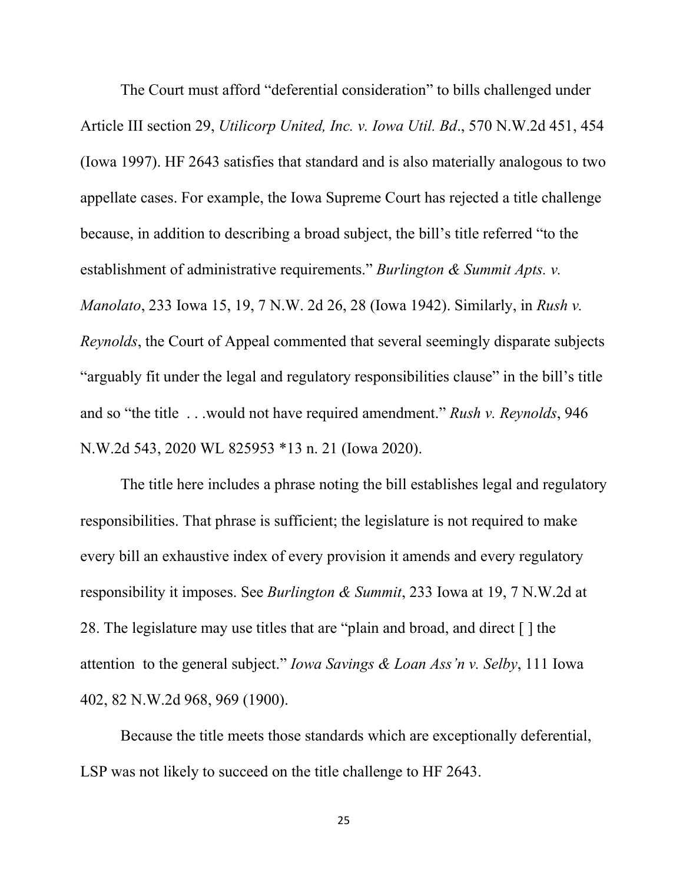The Court must afford "deferential consideration" to bills challenged under Article III section 29, *Utilicorp United, Inc. v. Iowa Util. Bd*., 570 N.W.2d 451, 454 (Iowa 1997). HF 2643 satisfies that standard and is also materially analogous to two appellate cases. For example, the Iowa Supreme Court has rejected a title challenge because, in addition to describing a broad subject, the bill's title referred "to the establishment of administrative requirements." *Burlington & Summit Apts. v. Manolato*, 233 Iowa 15, 19, 7 N.W. 2d 26, 28 (Iowa 1942). Similarly, in *Rush v. Reynolds*, the Court of Appeal commented that several seemingly disparate subjects "arguably fit under the legal and regulatory responsibilities clause" in the bill's title and so "the title . . .would not have required amendment." *Rush v. Reynolds*, 946 N.W.2d 543, 2020 WL 825953 \*13 n. 21 (Iowa 2020).

The title here includes a phrase noting the bill establishes legal and regulatory responsibilities. That phrase is sufficient; the legislature is not required to make every bill an exhaustive index of every provision it amends and every regulatory responsibility it imposes. See *Burlington & Summit*, 233 Iowa at 19, 7 N.W.2d at 28. The legislature may use titles that are "plain and broad, and direct [ ] the attention to the general subject." *Iowa Savings & Loan Ass'n v. Selby*, 111 Iowa 402, 82 N.W.2d 968, 969 (1900).

Because the title meets those standards which are exceptionally deferential, LSP was not likely to succeed on the title challenge to HF 2643.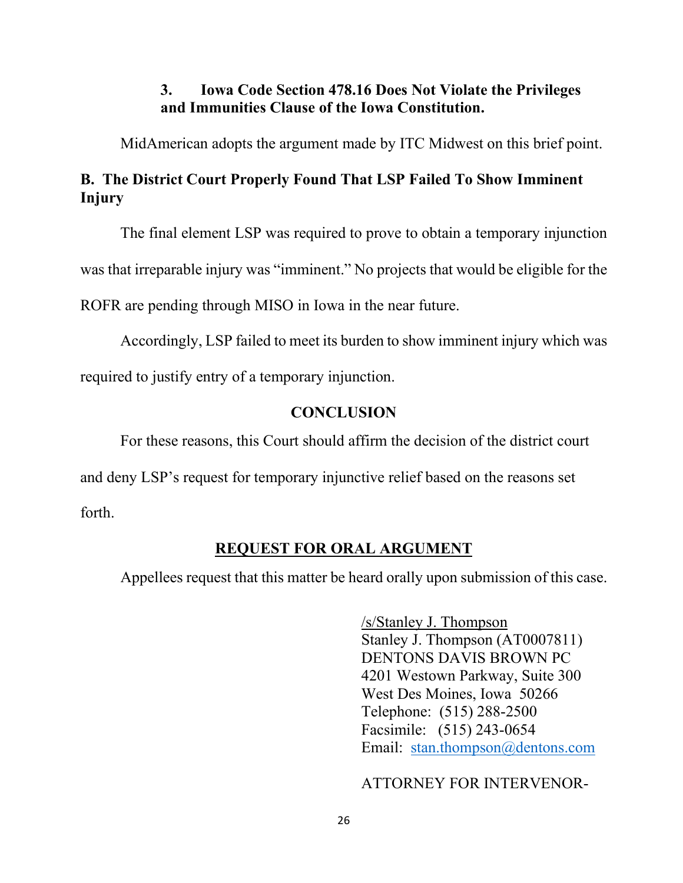### **3. Iowa Code Section 478.16 Does Not Violate the Privileges and Immunities Clause of the Iowa Constitution.**

MidAmerican adopts the argument made by ITC Midwest on this brief point.

## **B. The District Court Properly Found That LSP Failed To Show Imminent Injury**

The final element LSP was required to prove to obtain a temporary injunction

was that irreparable injury was "imminent." No projects that would be eligible for the

ROFR are pending through MISO in Iowa in the near future.

Accordingly, LSP failed to meet its burden to show imminent injury which was required to justify entry of a temporary injunction.

### **CONCLUSION**

For these reasons, this Court should affirm the decision of the district court

and deny LSP's request for temporary injunctive relief based on the reasons set

forth.

## **REQUEST FOR ORAL ARGUMENT**

Appellees request that this matter be heard orally upon submission of this case.

/s/Stanley J. Thompson Stanley J. Thompson (AT0007811) DENTONS DAVIS BROWN PC 4201 Westown Parkway, Suite 300 West Des Moines, Iowa 50266 Telephone: (515) 288-2500 Facsimile: (515) 243-0654 Email: [stan.thompson@dentons.com](mailto:stan.thompson@dentons.com)

ATTORNEY FOR INTERVENOR-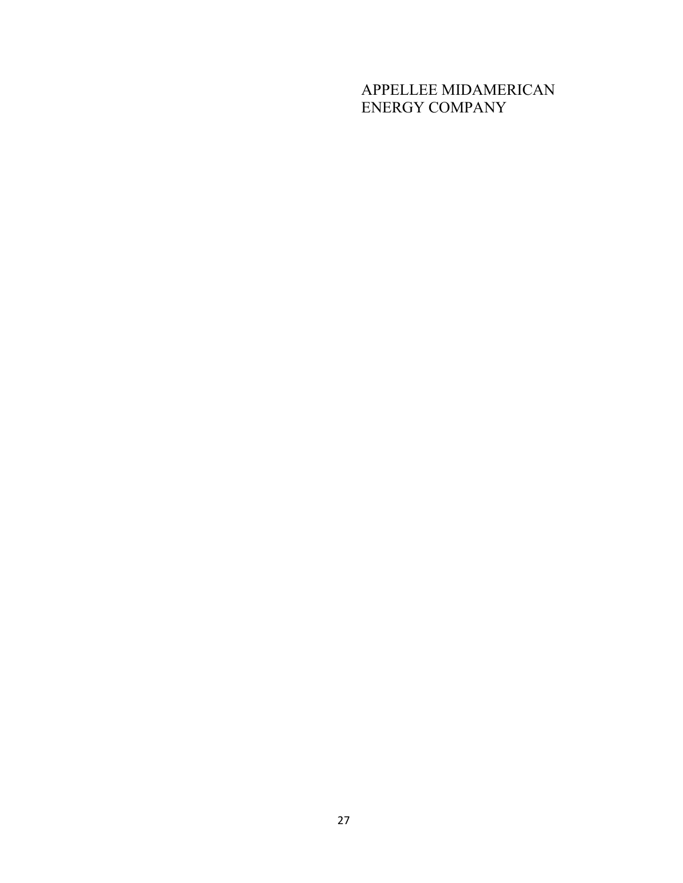# APPELLEE MIDAMERICAN ENERGY COMPANY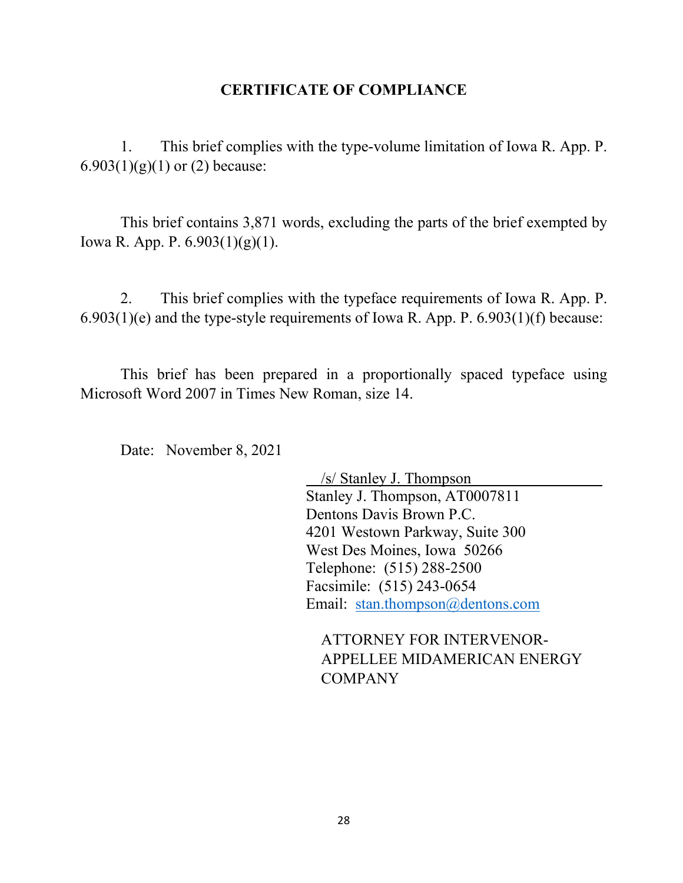### **CERTIFICATE OF COMPLIANCE**

1. This brief complies with the type-volume limitation of Iowa R. App. P.  $6.903(1)(g)(1)$  or (2) because:

This brief contains 3,871 words, excluding the parts of the brief exempted by Iowa R. App. P. 6.903(1)(g)(1).

2. This brief complies with the typeface requirements of Iowa R. App. P.  $6.903(1)(e)$  and the type-style requirements of Iowa R. App. P.  $6.903(1)(f)$  because:

This brief has been prepared in a proportionally spaced typeface using Microsoft Word 2007 in Times New Roman, size 14.

Date: November 8, 2021

/s/ Stanley J. Thompson Stanley J. Thompson, AT0007811 Dentons Davis Brown P.C. 4201 Westown Parkway, Suite 300 West Des Moines, Iowa 50266 Telephone: (515) 288-2500 Facsimile: (515) 243-0654 Email: [stan.thompson@dentons.com](mailto:stan.thompson@dentons.com)

ATTORNEY FOR INTERVENOR-APPELLEE MIDAMERICAN ENERGY COMPANY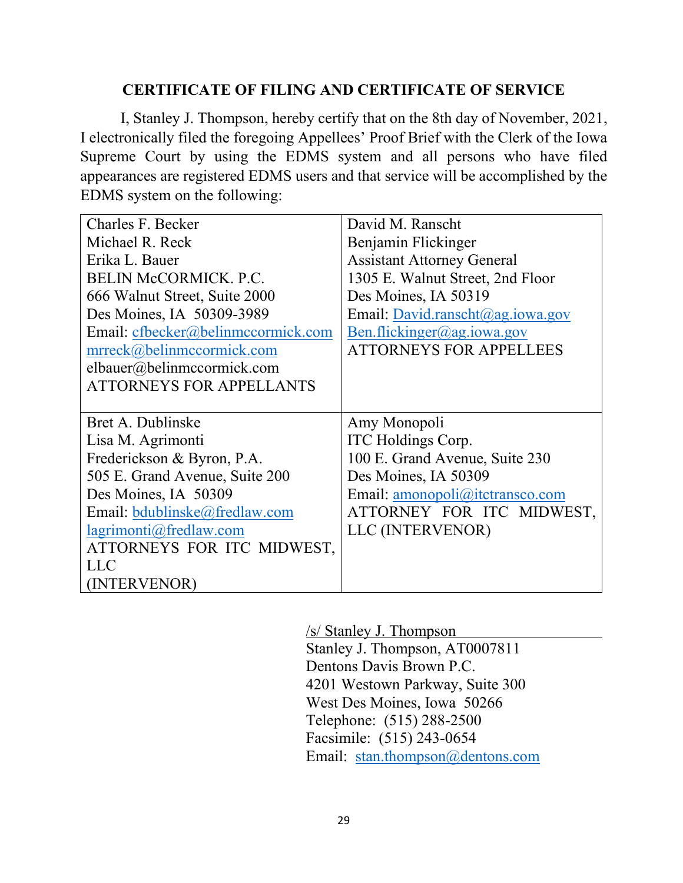### **CERTIFICATE OF FILING AND CERTIFICATE OF SERVICE**

I, Stanley J. Thompson, hereby certify that on the 8th day of November, 2021, I electronically filed the foregoing Appellees' Proof Brief with the Clerk of the Iowa Supreme Court by using the EDMS system and all persons who have filed appearances are registered EDMS users and that service will be accomplished by the EDMS system on the following:

| Charles F. Becker                  | David M. Ranscht                  |
|------------------------------------|-----------------------------------|
| Michael R. Reck                    | Benjamin Flickinger               |
| Erika L. Bauer                     | <b>Assistant Attorney General</b> |
| <b>BELIN McCORMICK. P.C.</b>       | 1305 E. Walnut Street, 2nd Floor  |
| 666 Walnut Street, Suite 2000      | Des Moines, IA 50319              |
| Des Moines, IA 50309-3989          | Email: David.ranscht@ag.iowa.gov  |
| Email: cfbecker@belinmccormick.com | Ben.flickinger@ag.iowa.gov        |
| mrreck@belinmccormick.com          | <b>ATTORNEYS FOR APPELLEES</b>    |
| elbauer@belinmccormick.com         |                                   |
| <b>ATTORNEYS FOR APPELLANTS</b>    |                                   |
|                                    |                                   |
| Bret A. Dublinske                  | Amy Monopoli                      |
| Lisa M. Agrimonti                  | ITC Holdings Corp.                |
| Frederickson & Byron, P.A.         | 100 E. Grand Avenue, Suite 230    |
| 505 E. Grand Avenue, Suite 200     | Des Moines, IA 50309              |
| Des Moines, IA 50309               | Email: amonopoli@itctransco.com   |
| Email: bdublinske@fredlaw.com      | ATTORNEY FOR ITC MIDWEST,         |
| lagrimonti@fredlaw.com             | LLC (INTERVENOR)                  |
| ATTORNEYS FOR ITC MIDWEST,         |                                   |
| <b>LLC</b>                         |                                   |
| (INTERVENOR)                       |                                   |

/s/ Stanley J. Thompson

Stanley J. Thompson, AT0007811 Dentons Davis Brown P.C. 4201 Westown Parkway, Suite 300 West Des Moines, Iowa 50266 Telephone: (515) 288-2500 Facsimile: (515) 243-0654 Email: [stan.thompson@dentons.com](mailto:stan.thompson@dentons.com)